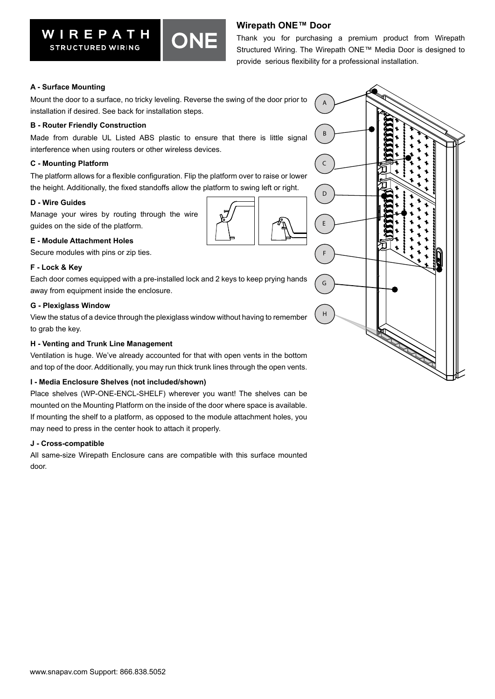# **Wirepath ONE™ Door**

Thank you for purchasing a premium product from Wirepath Structured Wiring. The Wirepath ONE™ Media Door is designed to provide serious flexibility for a professional installation.

## **A - Surface Mounting**

Mount the door to a surface, no tricky leveling. Reverse the swing of the door prior to installation if desired. See back for installation steps.

#### **B - Router Friendly Construction**

Made from durable UL Listed ABS plastic to ensure that there is little signal interference when using routers or other wireless devices.

#### **C - Mounting Platform**

The platform allows for a flexible configuration. Flip the platform over to raise or lower the height. Additionally, the fixed standoffs allow the platform to swing left or right.

#### **D - Wire Guides**

Manage your wires by routing through the wire guides on the side of the platform.

### **E - Module Attachment Holes**

Secure modules with pins or zip ties.

#### **F - Lock & Key**

Each door comes equipped with a pre-installed lock and 2 keys to keep prying hands away from equipment inside the enclosure.

#### **G - Plexiglass Window**

View the status of a device through the plexiglass window without having to remember to grab the key.

#### **H - Venting and Trunk Line Management**

Ventilation is huge. We've already accounted for that with open vents in the bottom and top of the door. Additionally, you may run thick trunk lines through the open vents.

### **I - Media Enclosure Shelves (not included/shown)**

Place shelves (WP-ONE-ENCL-SHELF) wherever you want! The shelves can be mounted on the Mounting Platform on the inside of the door where space is available. If mounting the shelf to a platform, as opposed to the module attachment holes, you may need to press in the center hook to attach it properly.

#### **J - Cross-compatible**

All same-size Wirepath Enclosure cans are compatible with this surface mounted door.





**STRUCTURED WIRING** 

WIREPATH